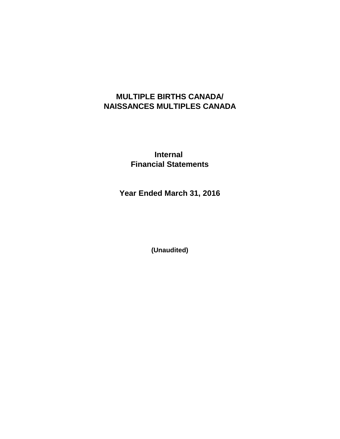# **MULTIPLE BIRTHS CANADA/ NAISSANCES MULTIPLES CANADA**

**Internal Financial Statements**

**Year Ended March 31, 2016**

**(Unaudited)**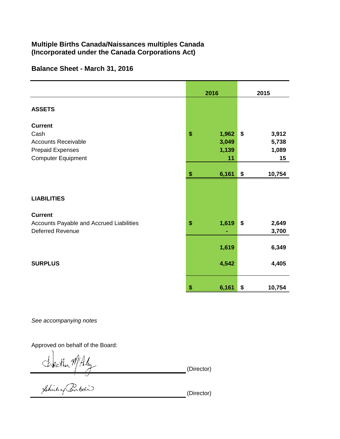## Multiple Births Canada/Naissances multiples Canada (Incorporated under the Canada Corporations Act)

### Balance Sheet - March 31, 2016

|                                                                     | 2016           | 2015                 |  |
|---------------------------------------------------------------------|----------------|----------------------|--|
| <b>ASSETS</b>                                                       |                |                      |  |
| <b>Current</b><br>Cash                                              | \$<br>1,962    | \$<br>3,912          |  |
| <b>Accounts Receivable</b><br><b>Prepaid Expenses</b>               | 3,049<br>1,139 | 5,738<br>1,089       |  |
| <b>Computer Equipment</b>                                           | 11             | 15                   |  |
|                                                                     | 6,161<br>\$    | \$<br>10,754         |  |
|                                                                     |                |                      |  |
| <b>LIABILITIES</b>                                                  |                |                      |  |
| <b>Current</b>                                                      |                |                      |  |
| Accounts Payable and Accrued Liabilities<br><b>Deferred Revenue</b> | \$<br>1,619    | \$<br>2,649<br>3,700 |  |
|                                                                     | 1,619          | 6,349                |  |
| <b>SURPLUS</b>                                                      | 4,542          | 4,405                |  |
|                                                                     | \$<br>6,161    | \$<br>10,754         |  |

See accompanying notes

Approved on behalf of the Board:

Steather MALy<br>Bhilly Brital

(Director)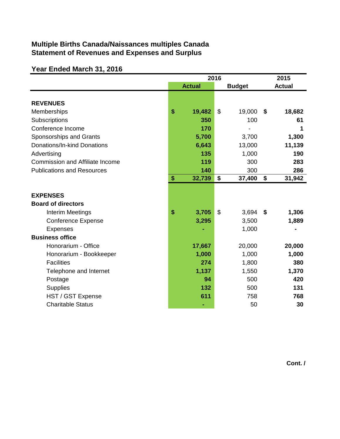## **Multiple Births Canada/Naissances multiples Canada Statement of Revenues and Expenses and Surplus**

## **Year Ended March 31, 2016**

|                                              | 2016 |               |                |               | 2015 |               |
|----------------------------------------------|------|---------------|----------------|---------------|------|---------------|
|                                              |      | <b>Actual</b> |                | <b>Budget</b> |      | <b>Actual</b> |
| <b>REVENUES</b>                              |      |               |                |               |      |               |
| Memberships                                  | \$   | 19,482        | \$             | 19,000        | \$   | 18,682        |
| Subscriptions                                |      | 350           |                | 100           |      | 61            |
| Conference Income                            |      | 170           |                |               |      | 1             |
| Sponsorships and Grants                      |      | 5,700         |                | 3,700         |      | 1,300         |
| Donations/In-kind Donations                  |      | 6,643         |                | 13,000        |      | 11,139        |
| Advertising                                  |      | 135           |                | 1,000         |      | 190           |
| <b>Commission and Affiliate Income</b>       |      | 119           |                | 300           |      | 283           |
| <b>Publications and Resources</b>            |      | 140           |                | 300           |      | 286           |
|                                              | \$   | 32,739        | \$             | 37,400        | \$   | 31,942        |
| <b>EXPENSES</b><br><b>Board of directors</b> |      |               |                |               |      |               |
| Interim Meetings                             | \$   | 3,705         | $\mathfrak{S}$ | 3,694         | -\$  | 1,306         |
| <b>Conference Expense</b>                    |      | 3,295         |                | 3,500         |      | 1,889         |
| <b>Expenses</b>                              |      |               |                | 1,000         |      |               |
| <b>Business office</b>                       |      |               |                |               |      |               |
| Honorarium - Office                          |      | 17,667        |                | 20,000        |      | 20,000        |
| Honorarium - Bookkeeper                      |      | 1,000         |                | 1,000         |      | 1,000         |
| <b>Facilities</b>                            |      | 274           |                | 1,800         |      | 380           |
| Telephone and Internet                       |      | 1,137         |                | 1,550         |      | 1,370         |
| Postage                                      |      | 94            |                | 500           |      | 420           |
| <b>Supplies</b>                              |      | 132           |                | 500           |      | 131           |
| HST / GST Expense                            |      | 611           |                | 758           |      | 768           |
| <b>Charitable Status</b>                     |      |               |                | 50            |      | 30            |

**Cont. /**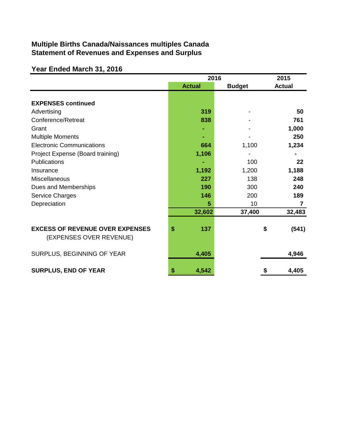## **Multiple Births Canada/Naissances multiples Canada Statement of Revenues and Expenses and Surplus**

# **Year Ended March 31, 2016**

|                                                                   | 2016          | 2015          |               |
|-------------------------------------------------------------------|---------------|---------------|---------------|
|                                                                   | <b>Actual</b> | <b>Budget</b> | <b>Actual</b> |
| <b>EXPENSES continued</b>                                         |               |               |               |
| Advertising                                                       | 319           |               | 50            |
| Conference/Retreat                                                | 838           |               | 761           |
| Grant                                                             |               |               | 1,000         |
| <b>Multiple Moments</b>                                           |               |               | 250           |
| <b>Electronic Communications</b>                                  | 664           | 1,100         | 1,234         |
| Project Expense (Board training)                                  | 1,106         |               |               |
| <b>Publications</b>                                               |               | 100           | 22            |
| Insurance                                                         | 1,192         | 1,200         | 1,188         |
| <b>Miscellaneous</b>                                              | 227           | 138           | 248           |
| Dues and Memberships                                              | 190           | 300           | 240           |
| Service Charges                                                   | 146           | 200           | 189           |
| Depreciation                                                      | 5             | 10            | 7             |
|                                                                   | 32,602        | 37,400        | 32,483        |
| <b>EXCESS OF REVENUE OVER EXPENSES</b><br>(EXPENSES OVER REVENUE) | \$<br>137     |               | \$<br>(541)   |
| SURPLUS, BEGINNING OF YEAR                                        | 4,405         |               | 4,946         |
| <b>SURPLUS, END OF YEAR</b>                                       | 4,542<br>\$   |               | 4,405         |